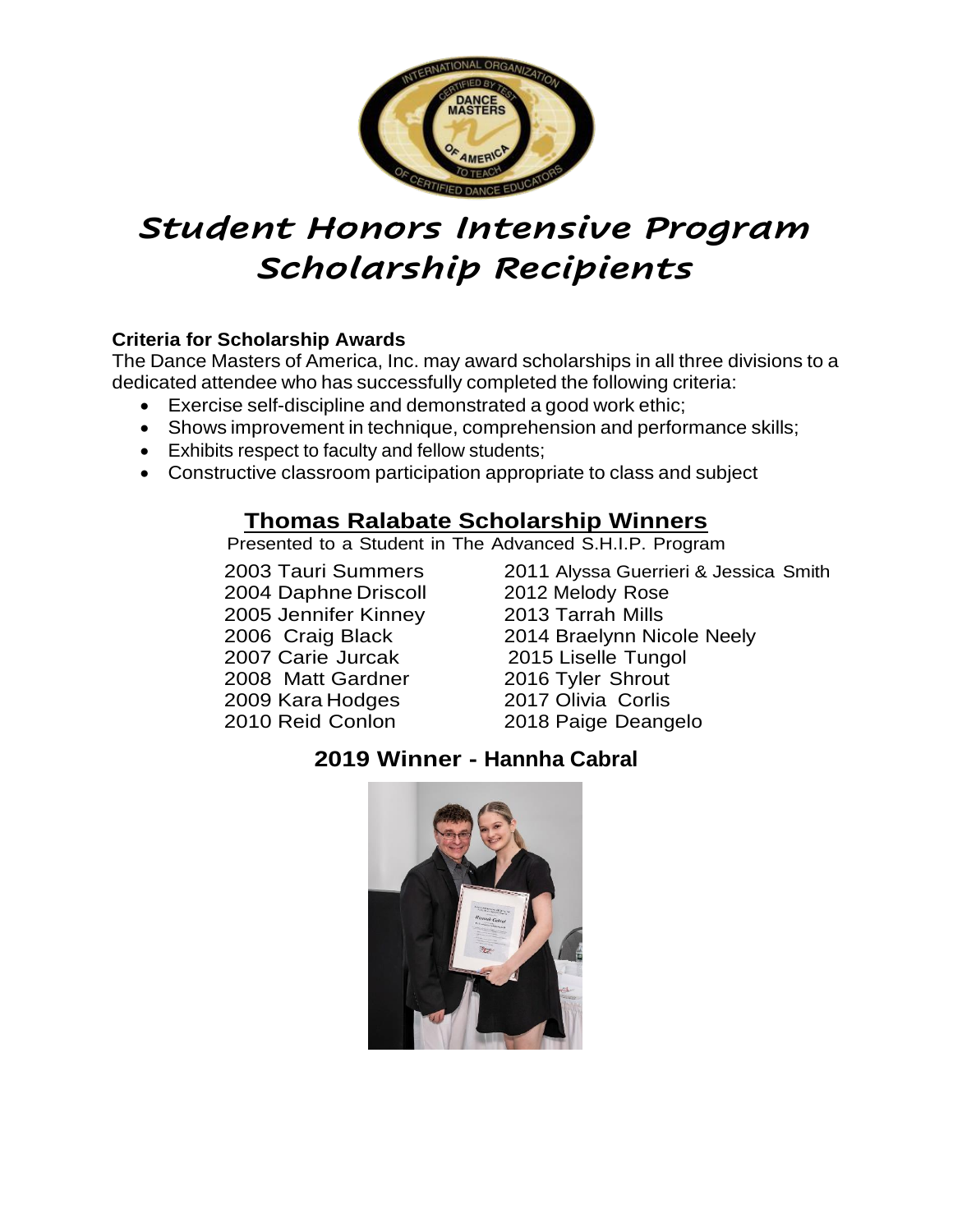

# *Student Honors Intensive Program Scholarship Recipients*

#### **Criteria for Scholarship Awards**

The Dance Masters of America, Inc. may award scholarships in all three divisions to a dedicated attendee who has successfully completed the following criteria:

- Exercise self-discipline and demonstrated a good work ethic;
- Shows improvement in technique, comprehension and performance skills;
- Exhibits respect to faculty and fellow students;
- Constructive classroom participation appropriate to class and subject

# **Thomas Ralabate Scholarship Winners**

Presented to a Student in The Advanced S.H.I.P. Program

2004 Daphne Driscoll 2012 Melody Rose 2005 Jennifer Kinney 2013 Tarrah Mills 2007 Carie Jurcak 2015 Liselle Tungol 2008 Matt Gardner 2016 Tyler Shrout 2009 Kara Hodges 2017 Olivia Corlis<br>2010 Reid Conlon 2018 Paige Deang

2003 Tauri Summers 2011 Alyssa Guerrieri & Jessica Smith 2006 Craig Black 2014 Braelynn Nicole Neely 2018 Paige Deangelo

## **2019 Winner - Hannha Cabral**